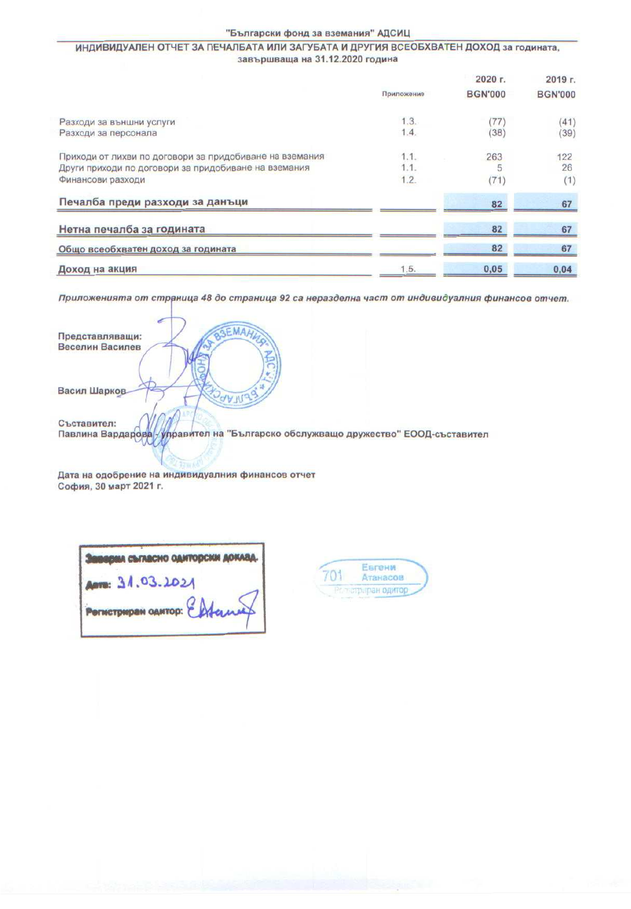## ИНДИВИДУАЛЕН ОТЧЕТ ЗА ПЕЧАЛБАТА ИЛИ ЗАГУБАТА И ДРУГИЯ ВСЕОБХВАТЕН ДОХОД за годината, завършваща на 31.12.2020 година

|                                                         |            | 2020 г.        | 2019 г.        |
|---------------------------------------------------------|------------|----------------|----------------|
|                                                         | Приложение | <b>BGN'000</b> | <b>BGN'000</b> |
| Разходи за външни услуги                                | 1.3.       | 77             | (41)           |
| Разходи за персонала                                    | 1.4.       | (38)           | (39)           |
| Приходи от лихви по договори за придобиване на вземания | 1.1.       | 263            | 122            |
| Други приходи по договори за придобиване на вземания    | 1.1.       |                | 26             |
| Финансови разходи                                       | 1.2.       | (71)           | (1)            |
| Печалба преди разходи за данъци                         |            | 82             | 67             |
| Нетна печалба за годината                               |            | 82             | 67             |
| Общо всеобхватен доход за годината                      |            | 82             | 67             |
| Доход на акция                                          | 1.5.       | 0,05           | 0,04           |

Приложенията от страница 48 до страница 92 са неразделна част от индивидуалния финансов отчет.

| MAHUGAL<br>Представляващи:                                                      |
|---------------------------------------------------------------------------------|
| Веселин Василев                                                                 |
|                                                                                 |
|                                                                                 |
| Васил Шарков                                                                    |
|                                                                                 |
| Съставител:                                                                     |
| Павлина Вардарова управител на "Българско обслужващо дружество" ЕООД-съставител |
|                                                                                 |
|                                                                                 |

Дата на одобрение на индивидуалния финансов отчет София, 30 март 2021 г.

| <b>масно одиторски доки</b>  |
|------------------------------|
|                              |
| POTHCTOMPAN GANTOP: Enforced |
|                              |

| вгени<br>Атанасов |  |
|-------------------|--|
| естотраран одитор |  |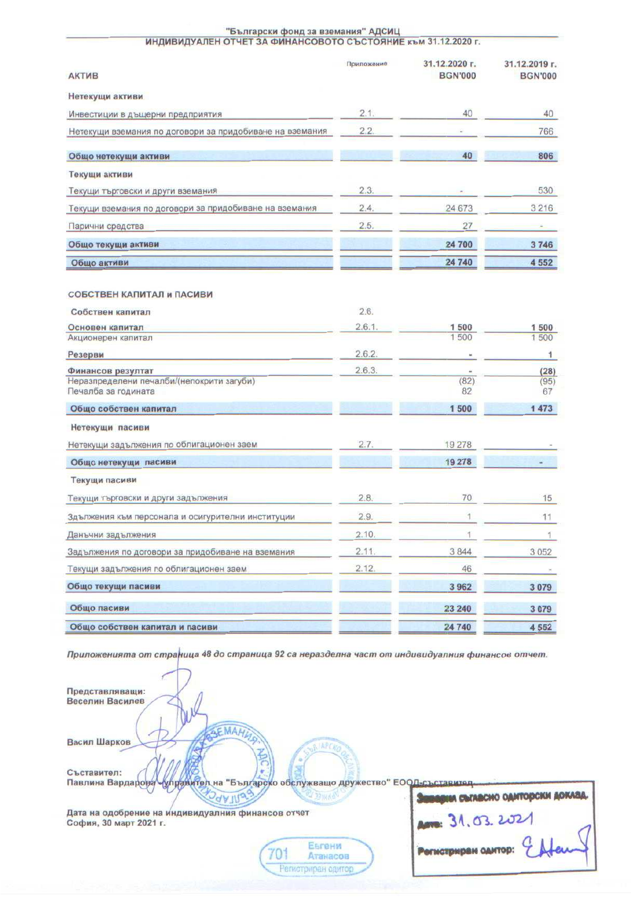## "Български фонд за вземания" АДСИЦ<br>ИНДИВИДУАЛЕН ОТЧЕТ ЗА ФИНАНСОВОТО СЪСТОЯНИЕ към 31.12.2020 г

|                                                                  | Приложение | 31.12.2020 г.  | 31.12.2019 г.  |
|------------------------------------------------------------------|------------|----------------|----------------|
| <b>АКТИВ</b>                                                     |            | <b>BGN'000</b> | <b>BGN'000</b> |
| Нетекущи активи                                                  |            |                |                |
| Инвестиции в дъщерни предприятия                                 | 2.1.       | 40             | 40             |
| Нетекущи вземания по договори за придобиване на вземания         | 2.2.       |                | 766            |
| Общо нетекущи активи                                             |            | 40             | 806            |
| Текущи активи                                                    |            |                |                |
| Текущи търговски и други вземания                                | 2.3.       |                | 530            |
| Текущи вземания по договори за придобиване на вземания           | 2.4.       | 24 673         | 3 2 1 6        |
| Парични средства                                                 | 2.5.       | 27             |                |
| Общо текущи активи                                               |            | 24 700         | 3746           |
| Общо активи                                                      |            | 24 740         | 4 5 5 2        |
| СОБСТВЕН КАПИТАЛ и ПАСИВИ                                        |            |                |                |
| Собствен капитал                                                 | 2.6.       |                |                |
| Основен капитал                                                  | 2.6.1.     | 1 500          | 1500           |
| Акционерен капитал                                               |            | 1500           | 1500           |
| Резерви                                                          | 2.6.2.     |                | 1              |
| Финансов резултат                                                | 2.6.3.     | ٠              | (28)           |
| Неразпределени печалби/(непокрити загуби)<br>Печалба за годината |            | (82)<br>82     | (95)<br>67     |
| Общо собствен капитал                                            |            | 1500           | 1473           |
| Нетекущи пасиви                                                  |            |                |                |
| Нетекущи задължения по облигационен заем                         | 2.7.       | 19 278         |                |
| Общо нетекущи пасиви                                             |            | 19 278         |                |
| Текущи пасиви                                                    |            |                |                |
| Текущи търговски и други задължения                              | 2.8.       | 70             | 15             |
| Здължения към персонала и осигурителни институции                | 2.9.       | $\mathbf{1}$   | 11             |
| Данъчни задължения                                               | 2.10.      | 1              | 1              |
| Задължения по договори за придобиване на вземания                | 2.11.      | 3844           | 3 0 5 2        |
| Текущи задължения по облигационен заем                           | 2.12.      | 46             |                |
| Общо текущи пасиви                                               |            | 3962           | 3079           |
| Общо пасиви                                                      |            | 23 240         | 3079           |
| Общо собствен капитал и пасиви                                   |            | 24 740         | 4552           |

Приложенията от страница 48 до страница 92 са неразделна част от индивидуалния финансов отчет.

Представляващи: Веселин Василев EMAHL Васил Шарков **INPCA** Съставител: управител на "Българско обслужващо дружество" ЕООД-съставител Павлина Вардарова **ведни съгавсно одиторски доклад. OUNTILLE** Am 31.03.2021 Дата на одобрение на индивидуалния финансов отчет София, 30 март 2021 г.  $\epsilon$ Евгени Регистриран одитор: 701 Атанасов

Регистриран одитор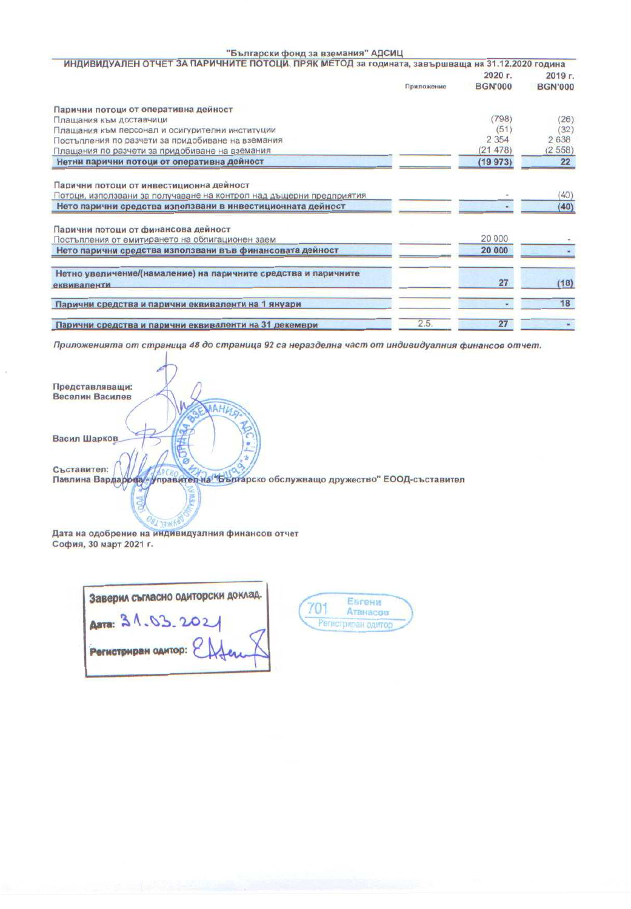## "Български фонд за вземания" АДСИЦ

| ИНДИВИДУАЛЕН ОТЧЕТ ЗА ПАРИЧНИТЕ ПОТОЦИ, ПРЯК МЕТОД за годината, завършваща на 31.12.2020 година |                |                |
|-------------------------------------------------------------------------------------------------|----------------|----------------|
|                                                                                                 | 2020 г.        | $2019$ г.      |
| Приложение                                                                                      | <b>BGN'000</b> | <b>BGN'000</b> |
| Парични потоци от оперативна дейност                                                            |                |                |
| Плащания към доставчици                                                                         | (798)          | (26)           |
| Плащания към персонал и осигурителни институции                                                 | (51)           | (32)           |
| Постъпления по разчети за придобиване на вземания                                               | 2 3 5 4        | 2638           |
| Плащания по разчети за придобиване на вземания                                                  | (21478)        | (2558)         |
| Нетни парични потоци от оперативна дейност                                                      | (19973)        | 22             |
| Парични потоци от инвестиционна дейност                                                         |                |                |
| Потоци, използвани за получаване на контрол над дъщерни предприятия                             |                | (40)           |
| Нето парични средства използвани в инвестиционната дейност                                      |                | (40)           |
| Парични потоци от финансова дейност                                                             |                |                |
| Постъпления от емитирането на облигационен заем                                                 | 20 000         |                |
| Нето парични средства използвани във финансовата дейност                                        | 20 000         |                |
| Нетно увеличение/(намаление) на паричните средства и паричните                                  |                |                |
| еквиваленти                                                                                     | 27             | (18)           |
| Парични средства и парични еквиваленти на 1 януари                                              |                | 18             |
| 2.5.<br>Парични средства и парични еквиваленти на 31 лекември                                   | 27             |                |

Приложенията от страница 48 до страница 92 са неразделна част от индивидуалния финансов отчет.

| Представляващи:                                                                                  |
|--------------------------------------------------------------------------------------------------|
| Веселин Василев                                                                                  |
| AAHUSA                                                                                           |
| Васил Шарков<br>-                                                                                |
| Съставител:<br>Павлина Вардарова - Управител на "Българско обслужващо дружество" ЕООД-съставител |
|                                                                                                  |

Дата на одобрение на индивидуалния финансов отчет София, 30 март 2021 г.

| Заверил съгласно одиторски доклад. |  |
|------------------------------------|--|
| ADTR: 31.03.2021                   |  |
| Регистриран одитор:                |  |

Евгени 701 Атанасов Penic триран одитор